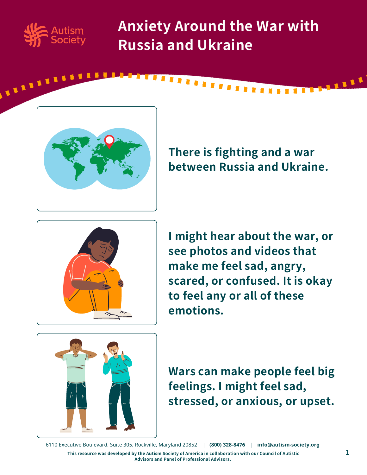

**ARABASH** 

**Anxiety Around the War with Russia and Ukraine**

,,,,,,,,,



**There is fighting and a war between Russia and Ukraine.**



**I might hear about the war, or see photos and videos that make me feel sad, angry, scared, or confused. It is okay to feel any or all of these emotions.**



**Wars can make people feel big feelings. I might feel sad, stressed, or anxious, or upset.**

6110 Executive Boulevard, Suite 305, Rockville, Maryland 20852 | **(800) 328-8476** | **[info@autism-society.org](https://autismsociety.org/)**

This resource was developed by the Autism Society of America in collaboration with our Council of Autistic  $\bf 1$ **Advisors and Panel of Professional Advisors.**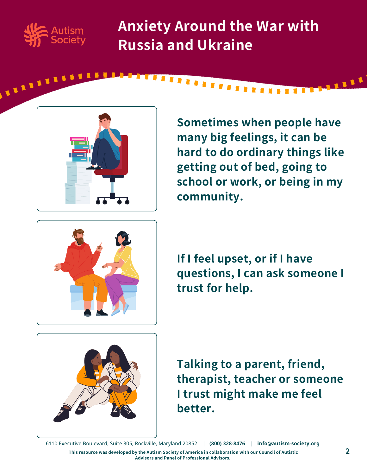

**ALLARATE** 

**Anxiety Around the War with Russia and Ukraine**

,,,,,,,,,



**Sometimes when people have many big feelings, it can be hard to do ordinary things like getting out of bed, going to school or work, or being in my community.**



**If I feel upset, or if I have questions, I can ask someone I trust for help.**



**Talking to a parent, friend, therapist, teacher or someone I trust might make me feel better.**

6110 Executive Boulevard, Suite 305, Rockville, Maryland 20852 | **(800) 328-8476** | **[info@autism-society.org](https://autismsociety.org/)**

This resource was developed by the Autism Society of America in collaboration with our Council of Autistic **Advisors and Panel of Professional Advisors.**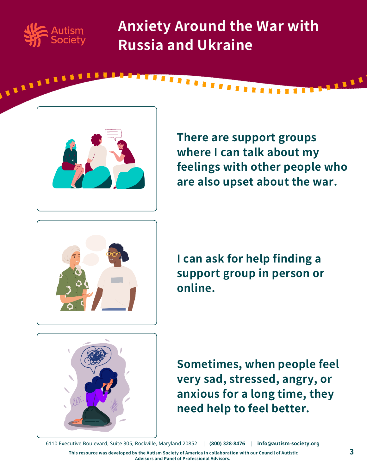

**ALLELLE** 

**Anxiety Around the War with Russia and Ukraine**

,,,,,,,,,



**There are support groups where I can talk about my feelings with other people who are also upset about the war.**



**I can ask for help finding a support group in person or online.**



**Sometimes, when people feel very sad, stressed, angry, or anxious for a long time, they need help to feel better.**

6110 Executive Boulevard, Suite 305, Rockville, Maryland 20852 | **(800) 328-8476** | **[info@autism-society.org](https://autismsociety.org/)**

This resource was developed by the Autism Society of America in collaboration with our Council of Autistic **Advisors and Panel of Professional Advisors.**